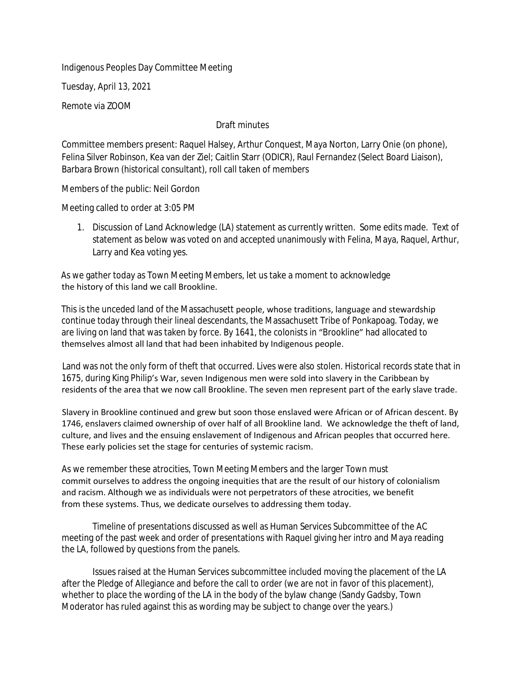Indigenous Peoples Day Committee Meeting

Tuesday, April 13, 2021

Remote via ZOOM

## Draft minutes

Committee members present: Raquel Halsey, Arthur Conquest, Maya Norton, Larry Onie (on phone), Felina Silver Robinson, Kea van der Ziel; Caitlin Starr (ODICR), Raul Fernandez (Select Board Liaison), Barbara Brown (historical consultant), roll call taken of members

Members of the public: Neil Gordon

Meeting called to order at 3:05 PM

1. Discussion of Land Acknowledge (LA) statement as currently written. Some edits made. Text of statement as below was voted on and accepted unanimously with Felina, Maya, Raquel, Arthur, Larry and Kea voting yes.

As we gather today as Town Meeting Members, let us take a moment to acknowledge the history of this land we call Brookline.

This is the unceded land of the Massachusett people, whose traditions, language and stewardship continue today through their lineal descendants, the Massachusett Tribe of Ponkapoag. Today, we are living on land that was taken by force. By 1641, the colonists in "Brookline" had allocated to themselves almost all land that had been inhabited by Indigenous people.

Land was not the only form of theft that occurred. Lives were also stolen. Historical records state that in 1675, during King Philip's War, seven Indigenous men were sold into slavery in the Caribbean by residents of the area that we now call Brookline. The seven men represent part of the early slave trade.

Slavery in Brookline continued and grew but soon those enslaved were African or of African descent. By 1746, enslavers claimed ownership of over half of all Brookline land. We acknowledge the theft of land, culture, and lives and the ensuing enslavement of Indigenous and African peoples that occurred here. These early policies set the stage for centuries of systemic racism.

As we remember these atrocities, Town Meeting Members and the larger Town must commit ourselves to address the ongoing inequities that are the result of our history of colonialism and racism. Although we as individuals were not perpetrators of these atrocities, we benefit from these systems. Thus, we dedicate ourselves to addressing them today.

Timeline of presentations discussed as well as Human Services Subcommittee of the AC meeting of the past week and order of presentations with Raquel giving her intro and Maya reading the LA, followed by questions from the panels.

Issues raised at the Human Services subcommittee included moving the placement of the LA after the Pledge of Allegiance and before the call to order (we are not in favor of this placement), whether to place the wording of the LA in the body of the bylaw change (Sandy Gadsby, Town Moderator has ruled against this as wording may be subject to change over the years.)